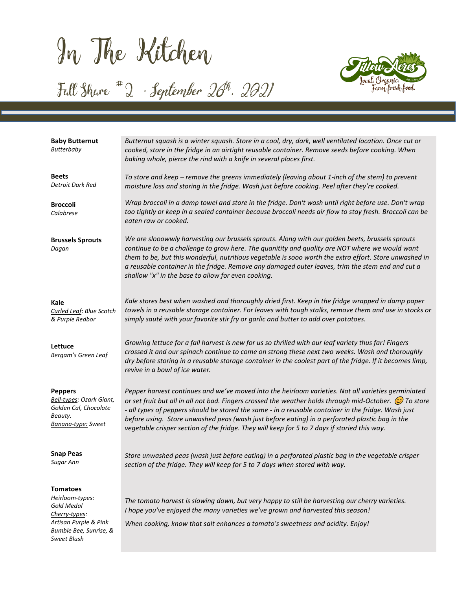In The Kitchen

*Bumble Bee, Sunrise, &* 

*Sweet Blush* 

# Fall Share  $*$  2 - September 20<sup>th</sup>, 2021



| <b>Baby Butternut</b><br>Butterbaby                                                                  | Butternut squash is a winter squash. Store in a cool, dry, dark, well ventilated location. Once cut or<br>cooked, store in the fridge in an airtight reusable container. Remove seeds before cooking. When<br>baking whole, pierce the rind with a knife in several places first.                                                                                                                                                                                                                                                  |
|------------------------------------------------------------------------------------------------------|------------------------------------------------------------------------------------------------------------------------------------------------------------------------------------------------------------------------------------------------------------------------------------------------------------------------------------------------------------------------------------------------------------------------------------------------------------------------------------------------------------------------------------|
| <b>Beets</b><br>Detroit Dark Red                                                                     | To store and keep - remove the greens immediately (leaving about 1-inch of the stem) to prevent<br>moisture loss and storing in the fridge. Wash just before cooking. Peel after they're cooked.                                                                                                                                                                                                                                                                                                                                   |
| <b>Broccoli</b><br>Calabrese                                                                         | Wrap broccoli in a damp towel and store in the fridge. Don't wash until right before use. Don't wrap<br>too tightly or keep in a sealed container because broccoli needs air flow to stay fresh. Broccoli can be<br>eaten raw or cooked.                                                                                                                                                                                                                                                                                           |
| <b>Brussels Sprouts</b><br>Dagan                                                                     | We are slooowwly harvesting our brussels sprouts. Along with our golden beets, brussels sprouts<br>continue to be a challenge to grow here. The quanitity and quality are NOT where we would want<br>them to be, but this wonderful, nutritious vegetable is sooo worth the extra effort. Store unwashed in<br>a reusable container in the fridge. Remove any damaged outer leaves, trim the stem end and cut a<br>shallow "x" in the base to allow for even cooking.                                                              |
| Kale<br>Curled Leaf: Blue Scotch<br>& Purple Redbor                                                  | Kale stores best when washed and thoroughly dried first. Keep in the fridge wrapped in damp paper<br>towels in a reusable storage container. For leaves with tough stalks, remove them and use in stocks or<br>simply sauté with your favorite stir fry or garlic and butter to add over potatoes.                                                                                                                                                                                                                                 |
| Lettuce<br>Bergam's Green Leaf                                                                       | Growing lettuce for a fall harvest is new for us so thrilled with our leaf variety thus far! Fingers<br>crossed it and our spinach continue to come on strong these next two weeks. Wash and thoroughly<br>dry before storing in a reusable storage container in the coolest part of the fridge. If it becomes limp,<br>revive in a bowl of ice water.                                                                                                                                                                             |
| <b>Peppers</b><br>Bell-types: Ozark Giant,<br>Golden Cal, Chocolate<br>Beauty.<br>Banana-type: Sweet | Pepper harvest continues and we've moved into the heirloom varieties. Not all varieties germiniated<br>or set fruit but all in all not bad. Fingers crossed the weather holds through mid-October. $\circled{c}$ To store<br>- all types of peppers should be stored the same - in a reusable container in the fridge. Wash just<br>before using. Store unwashed peas (wash just before eating) in a perforated plastic bag in the<br>vegetable crisper section of the fridge. They will keep for 5 to 7 days if storied this way. |
| <b>Snap Peas</b><br>Sugar Ann                                                                        | Store unwashed peas (wash just before eating) in a perforated plastic bag in the vegetable crisper<br>section of the fridge. They will keep for 5 to 7 days when stored with way.                                                                                                                                                                                                                                                                                                                                                  |
| Tomatoes<br><u>Heirloom-types:</u><br>Gold Medal<br>Cherry-types:<br>Artisan Purple & Pink           | The tomato harvest is slowing down, but very happy to still be harvesting our cherry varieties.<br>I hope you've enjoyed the many varieties we've grown and harvested this season!<br>When cooking, know that salt enhances a tomato's sweetness and acidity. Enjoy!                                                                                                                                                                                                                                                               |